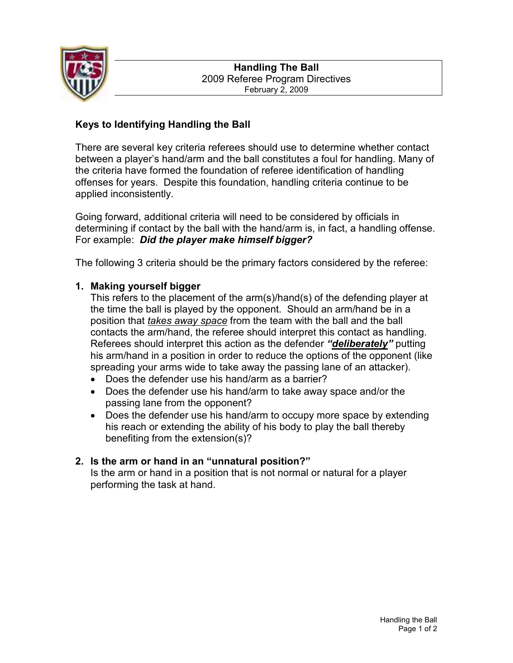

# Keys to Identifying Handling the Ball

There are several key criteria referees should use to determine whether contact between a player's hand/arm and the ball constitutes a foul for handling. Many of the criteria have formed the foundation of referee identification of handling offenses for years. Despite this foundation, handling criteria continue to be applied inconsistently.

Going forward, additional criteria will need to be considered by officials in determining if contact by the ball with the hand/arm is, in fact, a handling offense. For example: Did the player make himself bigger?

The following 3 criteria should be the primary factors considered by the referee:

### 1. Making yourself bigger

This refers to the placement of the arm(s)/hand(s) of the defending player at the time the ball is played by the opponent. Should an arm/hand be in a position that takes away space from the team with the ball and the ball contacts the arm/hand, the referee should interpret this contact as handling. Referees should interpret this action as the defender "deliberately" putting his arm/hand in a position in order to reduce the options of the opponent (like spreading your arms wide to take away the passing lane of an attacker).

- Does the defender use his hand/arm as a barrier?
- Does the defender use his hand/arm to take away space and/or the passing lane from the opponent?
- Does the defender use his hand/arm to occupy more space by extending his reach or extending the ability of his body to play the ball thereby benefiting from the extension(s)?

## 2. Is the arm or hand in an "unnatural position?"

Is the arm or hand in a position that is not normal or natural for a player performing the task at hand.